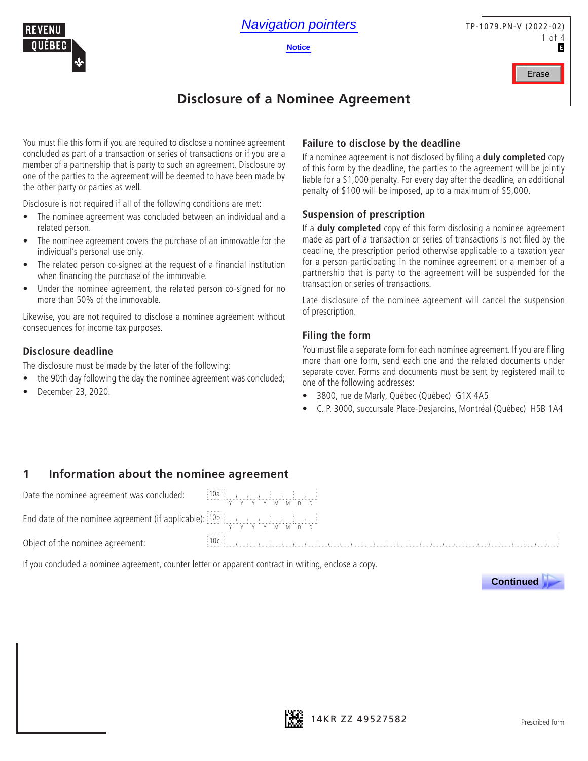



# **Disclosure of a Nominee Agreement**

You must file this form if you are required to disclose a nominee agreement concluded as part of a transaction or series of transactions or if you are a member of a partnership that is party to such an agreement. Disclosure by one of the parties to the agreement will be deemed to have been made by the other party or parties as well.

Disclosure is not required if all of the following conditions are met:

- The nominee agreement was concluded between an individual and a related person.
- The nominee agreement covers the purchase of an immovable for the individual's personal use only.
- The related person co-signed at the request of a financial institution when financing the purchase of the immovable.
- Under the nominee agreement, the related person co-signed for no more than 50% of the immovable.

Likewise, you are not required to disclose a nominee agreement without consequences for income tax purposes.

#### **Disclosure deadline**

The disclosure must be made by the later of the following:

- the 90th day following the day the nominee agreement was concluded;
- December 23, 2020.

#### **Failure to disclose by the deadline**

If a nominee agreement is not disclosed by filing a **duly completed** copy of this form by the deadline, the parties to the agreement will be jointly liable for a \$1,000 penalty. For every day after the deadline, an additional penalty of \$100 will be imposed, up to a maximum of \$5,000.

#### **Suspension of prescription**

If a **duly completed** copy of this form disclosing a nominee agreement made as part of a transaction or series of transactions is not filed by the deadline, the prescription period otherwise applicable to a taxation year for a person participating in the nominee agreement or a member of a partnership that is party to the agreement will be suspended for the transaction or series of transactions.

Late disclosure of the nominee agreement will cancel the suspension of prescription.

#### **Filing the form**

You must file a separate form for each nominee agreement. If you are filing more than one form, send each one and the related documents under separate cover. Forms and documents must be sent by registered mail to one of the following addresses:

- 3800, rue de Marly, Québec (Québec) G1X 4A5
- C. P. 3000, succursale Place-Desjardins, Montréal (Québec) H5B 1A4

#### **1 Information about the nominee agreement**

Date the nominee agreement was concluded:

End date of the nominee agreement (if applicable): 10b

Object of the nominee agreement:

If you concluded a nominee agreement, counter letter or apparent contract in writing, enclose a copy.





Y Y Y Y M M D D

<u>n mandimentanan </u>

Y Y Y Y M M D D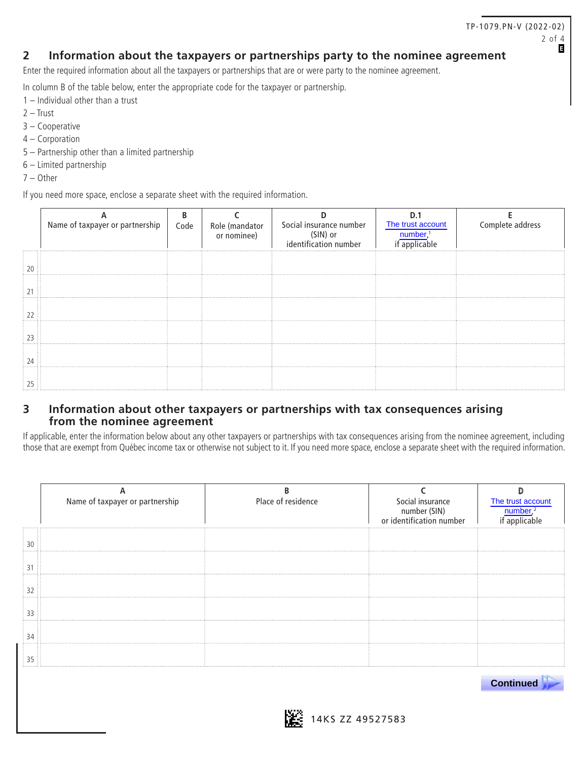#### **2 Information about the taxpayers or partnerships party to the nominee agreement**

Enter the required information about all the taxpayers or partnerships that are or were party to the nominee agreement.

In column B of the table below, enter the appropriate code for the taxpayer or partnership.

- 1 Individual other than a trust
- 2 Trust
- 3 Cooperative
- 4 Corporation
- 5 Partnership other than a limited partnership
- 6 Limited partnership
- 7 Other

If you need more space, enclose a separate sheet with the required information.

| Name of taxpayer or partnership | Code | Role (mandator<br>or nominee) | Social insurance number<br>(SIN) or<br>identification number | The trust account | Complete address |
|---------------------------------|------|-------------------------------|--------------------------------------------------------------|-------------------|------------------|
|                                 |      |                               |                                                              |                   |                  |
|                                 |      |                               |                                                              |                   |                  |
|                                 |      |                               |                                                              |                   |                  |
|                                 |      |                               |                                                              |                   |                  |
|                                 |      |                               |                                                              |                   |                  |
|                                 |      |                               |                                                              |                   |                  |

#### **3 Information about other taxpayers or partnerships with tax consequences arising from the nominee agreement**

If applicable, enter the information below about any other taxpayers or partnerships with tax consequences arising from the nominee agreement, including those that are exempt from Québec income tax or otherwise not subject to it. If you need more space, enclose a separate sheet with the required information.

| Name of taxpayer or partnership | Place of residence | Social insurance<br>number (SIN)<br>or identification number | The trust account |
|---------------------------------|--------------------|--------------------------------------------------------------|-------------------|
|                                 |                    |                                                              |                   |
|                                 |                    |                                                              |                   |
|                                 |                    |                                                              |                   |
|                                 |                    |                                                              |                   |
|                                 |                    |                                                              |                   |
|                                 |                    |                                                              |                   |



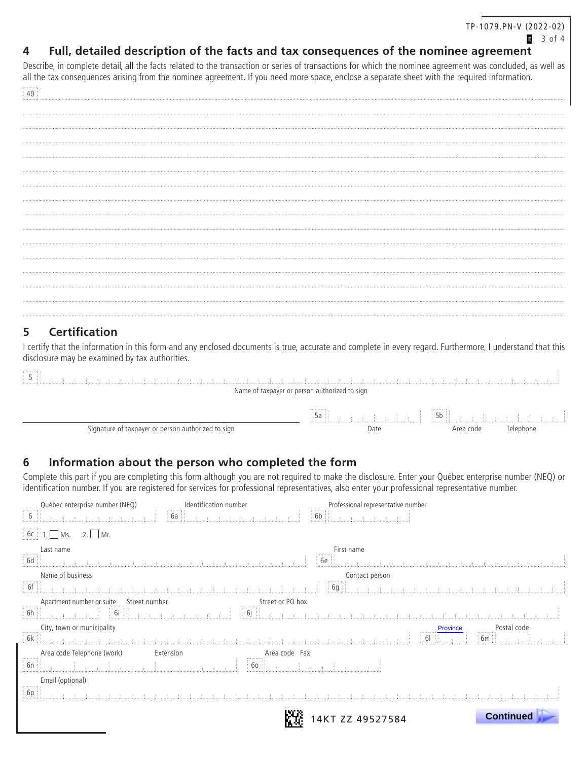#### $3$  of 4

## **4 Full, detailed description of the facts and tax consequences of the nominee agreement**

Describe, in complete detail, all the facts related to the transaction or series of transactions for which the nominee agreement was concluded, as well as all the tax consequences arising from the nominee agreement. If you need more space, enclose a separate sheet with the required information.

# **5 Certification**

I certify that the information in this form and any enclosed documents is true, accurate and complete in every regard. Furthermore, I understand that this disclosure may be examined by tax authorities.

| .<br>しまいしまいしまいしまいい                                 |          |                                |           |  |
|----------------------------------------------------|----------|--------------------------------|-----------|--|
| Name of taxpayer or person authorized to sign      |          |                                |           |  |
|                                                    | .<br>DC. | $\frac{1}{2}$ 5b $\frac{1}{2}$ |           |  |
| Signature of taxpayer or person authorized to sign | Date     | Area code                      | Telephone |  |

#### **6 Information about the person who completed the form**

Complete this part if you are completing this form although you are not required to make the disclosure. Enter your Québec enterprise number (NEQ) or identification number. If you are registered for services for professional representatives, also enter your professional representative number.

| $\ddot{\phantom{a}}$                            | Québec enterprise number (NEQ)<br>1.1.1.1.1.1.1.1.1 | Identification number                      | Professional representative number<br>,,,,,,,,, |                  |
|-------------------------------------------------|-----------------------------------------------------|--------------------------------------------|-------------------------------------------------|------------------|
| 6                                               | 6a                                                  |                                            | 6b                                              |                  |
| 6c                                              | $2.$ Mr.<br>MS.                                     |                                            |                                                 |                  |
| Last name                                       |                                                     |                                            | First name<br>.                                 |                  |
| 6d                                              |                                                     |                                            | бе                                              |                  |
|                                                 | Name of business                                    |                                            | Contact person<br>$\mu$ $\mu$ . $\mu$           |                  |
| $\begin{array}{ c c }\n\hline\n6f\n\end{array}$ |                                                     |                                            | 6g                                              |                  |
|                                                 | Apartment number or suite Street number             | Street or PO box                           |                                                 |                  |
| $\overline{6h}$                                 |                                                     | 6i                                         |                                                 |                  |
|                                                 | City, town or municipality                          |                                            | <b>Province</b><br>,,,,,,,,,,                   | Postal code      |
| 6k                                              |                                                     | <u>. In the first that the first state</u> | 61                                              | $\boxed{6m}$     |
|                                                 | Area code Telephone (work)<br>Extension             | Area code Fax<br>.                         |                                                 |                  |
| $\begin{bmatrix} 6n \end{bmatrix}$              | a a Barrio                                          | 60                                         |                                                 |                  |
|                                                 | Email (optional)                                    |                                            |                                                 |                  |
| $\begin{bmatrix} 6p \end{bmatrix}$              |                                                     |                                            |                                                 |                  |
|                                                 |                                                     |                                            |                                                 |                  |
|                                                 |                                                     |                                            | 14KT ZZ 49527584                                | <b>Continued</b> |
|                                                 |                                                     |                                            |                                                 |                  |